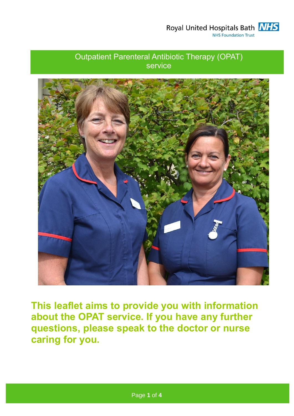Royal United Hospitals Bath **NHS NHS Foundation Trust** 

# Outpatient Parenteral Antibiotic Therapy (OPAT) service



**This leaflet aims to provide you with information about the OPAT service. If you have any further questions, please speak to the doctor or nurse caring for you.**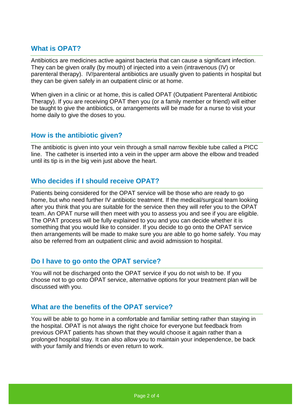# **What is OPAT?**

Antibiotics are medicines active against bacteria that can cause a significant infection. They can be given orally (by mouth) of injected into a vein (intravenous (IV) or parenteral therapy). IV/parenteral antibiotics are usually given to patients in hospital but they can be given safely in an outpatient clinic or at home.

When given in a clinic or at home, this is called OPAT (Outpatient Parenteral Antibiotic Therapy). If you are receiving OPAT then you (or a family member or friend) will either be taught to give the antibiotics, or arrangements will be made for a nurse to visit your home daily to give the doses to you.

# **How is the antibiotic given?**

The antibiotic is given into your vein through a small narrow flexible tube called a PICC line. The catheter is inserted into a vein in the upper arm above the elbow and treaded until its tip is in the big vein just above the heart.

# **Who decides if I should receive OPAT?**

Patients being considered for the OPAT service will be those who are ready to go home, but who need further IV antibiotic treatment. If the medical/surgical team looking after you think that you are suitable for the service then they will refer you to the OPAT team. An OPAT nurse will then meet with you to assess you and see if you are eligible. The OPAT process will be fully explained to you and you can decide whether it is something that you would like to consider. If you decide to go onto the OPAT service then arrangements will be made to make sure you are able to go home safely. You may also be referred from an outpatient clinic and avoid admission to hospital.

# **Do I have to go onto the OPAT service?**

You will not be discharged onto the OPAT service if you do not wish to be. If you choose not to go onto OPAT service, alternative options for your treatment plan will be discussed with you.

# **What are the benefits of the OPAT service?**

You will be able to go home in a comfortable and familiar setting rather than staying in the hospital. OPAT is not always the right choice for everyone but feedback from previous OPAT patients has shown that they would choose it again rather than a prolonged hospital stay. It can also allow you to maintain your independence, be back with your family and friends or even return to work.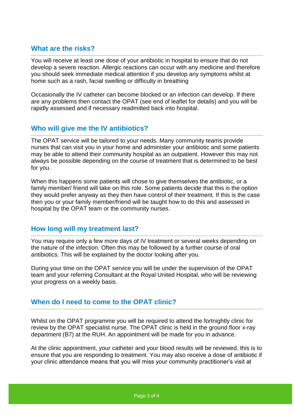# **What are the risks?**

You will receive at least one dose of your antibiotic in hospital to ensure that do not develop a severe reaction. Allergic reactions can occur with any medicine and therefore you should seek immediate medical attention if you develop any symptoms whilst at home such as a rash, facial swelling or difficulty in breathing

Occasionally the IV catheter can become blocked or an infection can develop. If there are any problems then contact the OPAT (see end of leaflet for details) and you will be rapidly assessed and if necessary readmitted back into hospital.

# **Who will give me the IV antibiotics?**

The OPAT service will be tailored to your needs. Many community teams provide nurses that can visit you in your home and administer your antibiotic and some patients may be able to attend their community hospital as an outpatient. However this may not always be possible depending on the course of treatment that is determined to be best for you.

When this happens some patients will chose to give themselves the antibiotic, or a family member/ friend will take on this role. Some patients decide that this is the option they would prefer anyway as they then have control of their treatment. If this is the case then you or your family member/friend will be taught how to do this and assessed in hospital by the OPAT team or the community nurses.

#### **How long will my treatment last?**

You may require only a few more days of IV treatment or several weeks depending on the nature of the infection. Often this may be followed by a further course of oral antibiotics. This will be explained by the doctor looking after you.

During your time on the OPAT service you will be under the supervision of the OPAT team and your referring Consultant at the Royal United Hospital, who will be reviewing your progress on a weekly basis.

#### **When do I need to come to the OPAT clinic?**

Whilst on the OPAT programme you will be required to attend the fortnightly clinic for review by the OPAT specialist nurse. The OPAT clinic is held in the ground floor x-ray department (B7) at the RUH. An appointment will be made for you in advance.

At the clinic appointment, your catheter and your blood results will be reviewed, this is to ensure that you are responding to treatment. You may also receive a dose of antibiotic if your clinic attendance means that you will miss your community practitioner's visit at